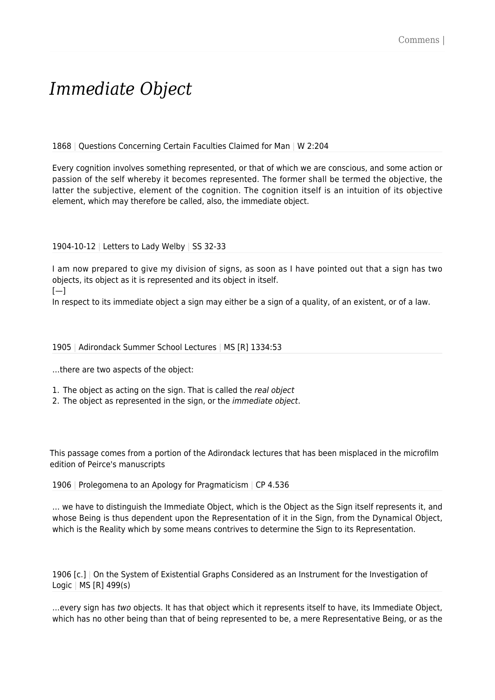# *Immediate Object*

1868 | Questions Concerning Certain Faculties Claimed for Man | W 2:204

Every cognition involves something represented, or that of which we are conscious, and some action or passion of the self whereby it becomes represented. The former shall be termed the objective, the latter the subjective, element of the cognition. The cognition itself is an intuition of its objective element, which may therefore be called, also, the immediate object.

#### 1904-10-12 | Letters to Lady Welby | SS 32-33

I am now prepared to give my division of signs, as soon as I have pointed out that a sign has two objects, its object as it is represented and its object in itself.  $[-]$ 

In respect to its immediate object a sign may either be a sign of a quality, of an existent, or of a law.

#### 1905 | Adirondack Summer School Lectures | MS [R] 1334:53

…there are two aspects of the object:

- 1. The object as acting on the sign. That is called the real object
- 2. The object as represented in the sign, or the *immediate object*.

This passage comes from a portion of the Adirondack lectures that has been misplaced in the microfilm edition of Peirce's manuscripts

1906 | Prolegomena to an Apology for Pragmaticism | CP 4.536

… we have to distinguish the Immediate Object, which is the Object as the Sign itself represents it, and whose Being is thus dependent upon the Representation of it in the Sign, from the Dynamical Object, which is the Reality which by some means contrives to determine the Sign to its Representation.

1906 [c.] | On the System of Existential Graphs Considered as an Instrument for the Investigation of Logic | MS [R] 499(s)

…every sign has two objects. It has that object which it represents itself to have, its Immediate Object, which has no other being than that of being represented to be, a mere Representative Being, or as the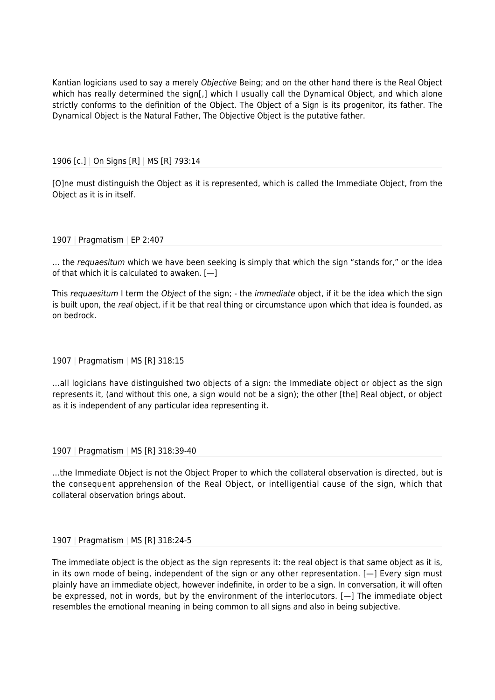Kantian logicians used to say a merely Objective Being; and on the other hand there is the Real Object which has really determined the sign[,] which I usually call the Dynamical Object, and which alone strictly conforms to the definition of the Object. The Object of a Sign is its progenitor, its father. The Dynamical Object is the Natural Father, The Objective Object is the putative father.

1906 [c.] | On Signs [R] | MS [R] 793:14

[O]ne must distinguish the Object as it is represented, which is called the Immediate Object, from the Object as it is in itself.

#### 1907 | Pragmatism | EP 2:407

... the requaesitum which we have been seeking is simply that which the sign "stands for," or the idea of that which it is calculated to awaken.  $[-]$ 

This requaesitum I term the Object of the sign; - the *immediate* object, if it be the idea which the sign is built upon, the real object, if it be that real thing or circumstance upon which that idea is founded, as on bedrock.

#### 1907 | Pragmatism | MS [R] 318:15

…all logicians have distinguished two objects of a sign: the Immediate object or object as the sign represents it, (and without this one, a sign would not be a sign); the other [the] Real object, or object as it is independent of any particular idea representing it.

1907 | Pragmatism | MS [R] 318:39-40

…the Immediate Object is not the Object Proper to which the collateral observation is directed, but is the consequent apprehension of the Real Object, or intelligential cause of the sign, which that collateral observation brings about.

#### 1907 | Pragmatism | MS [R] 318:24-5

The immediate object is the object as the sign represents it: the real object is that same object as it is, in its own mode of being, independent of the sign or any other representation. [—] Every sign must plainly have an immediate object, however indefinite, in order to be a sign. In conversation, it will often be expressed, not in words, but by the environment of the interlocutors. [—] The immediate object resembles the emotional meaning in being common to all signs and also in being subjective.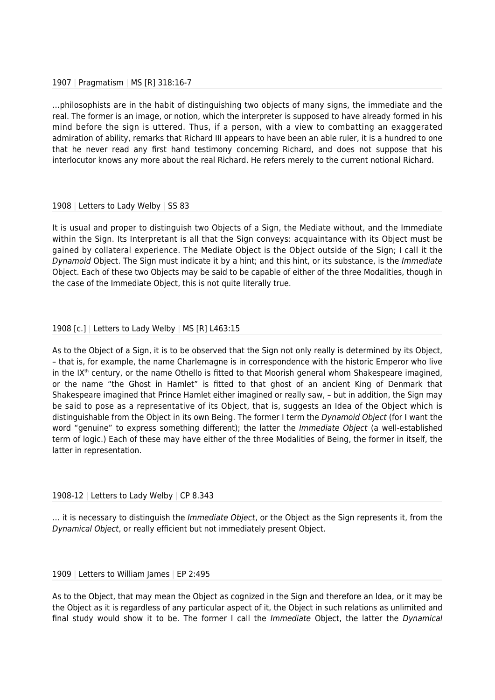#### 1907 | Pragmatism | MS [R] 318:16-7

…philosophists are in the habit of distinguishing two objects of many signs, the immediate and the real. The former is an image, or notion, which the interpreter is supposed to have already formed in his mind before the sign is uttered. Thus, if a person, with a view to combatting an exaggerated admiration of ability, remarks that Richard III appears to have been an able ruler, it is a hundred to one that he never read any first hand testimony concerning Richard, and does not suppose that his interlocutor knows any more about the real Richard. He refers merely to the current notional Richard.

### 1908 | Letters to Lady Welby | SS 83

It is usual and proper to distinguish two Objects of a Sign, the Mediate without, and the Immediate within the Sign. Its Interpretant is all that the Sign conveys: acquaintance with its Object must be gained by collateral experience. The Mediate Object is the Object outside of the Sign; I call it the Dynamoid Object. The Sign must indicate it by a hint; and this hint, or its substance, is the Immediate Object. Each of these two Objects may be said to be capable of either of the three Modalities, though in the case of the Immediate Object, this is not quite literally true.

## 1908 [c.] | Letters to Lady Welby | MS [R] L463:15

As to the Object of a Sign, it is to be observed that the Sign not only really is determined by its Object, – that is, for example, the name Charlemagne is in correspondence with the historic Emperor who live in the  $IX<sup>th</sup>$  century, or the name Othello is fitted to that Moorish general whom Shakespeare imagined, or the name "the Ghost in Hamlet" is fitted to that ghost of an ancient King of Denmark that Shakespeare imagined that Prince Hamlet either imagined or really saw, – but in addition, the Sign may be said to pose as a representative of its Object, that is, suggests an Idea of the Object which is distinguishable from the Object in its own Being. The former I term the Dynamoid Object (for I want the word "genuine" to express something different); the latter the *Immediate Object* (a well-established term of logic.) Each of these may have either of the three Modalities of Being, the former in itself, the latter in representation.

#### 1908-12 | Letters to Lady Welby | CP 8.343

... it is necessary to distinguish the *Immediate Object*, or the Object as the Sign represents it, from the Dynamical Object, or really efficient but not immediately present Object.

#### 1909 | Letters to William James | EP 2:495

As to the Object, that may mean the Object as cognized in the Sign and therefore an Idea, or it may be the Object as it is regardless of any particular aspect of it, the Object in such relations as unlimited and final study would show it to be. The former I call the *Immediate* Object, the latter the *Dynamical*